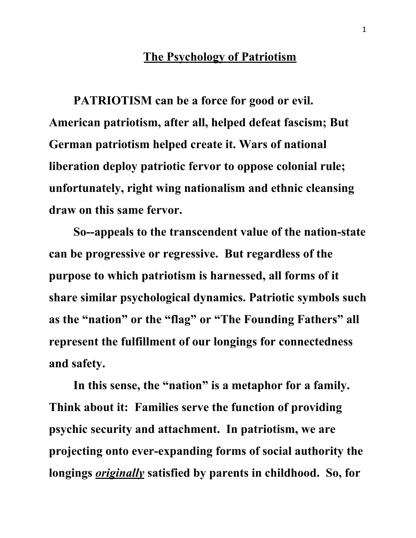## **The Psychology of Patriotism**

**PATRIOTISM can be a force for good or evil. American patriotism, after all, helped defeat fascism; But German patriotism helped create it. Wars of national liberation deploy patriotic fervor to oppose colonial rule; unfortunately, right wing nationalism and ethnic cleansing draw on this same fervor.**

**So--appeals to the transcendent value of the nation-state can be progressive or regressive. But regardless of the purpose to which patriotism is harnessed, all forms of it share similar psychological dynamics. Patriotic symbols such as the "nation" or the "flag" or "The Founding Fathers" all represent the fulfillment of our longings for connectedness and safety.**

**In this sense, the "nation" is a metaphor for a family. Think about it: Families serve the function of providing psychic security and attachment. In patriotism, we are projecting onto ever-expanding forms of social authority the longings** *originally* **satisfied by parents in childhood. So, for**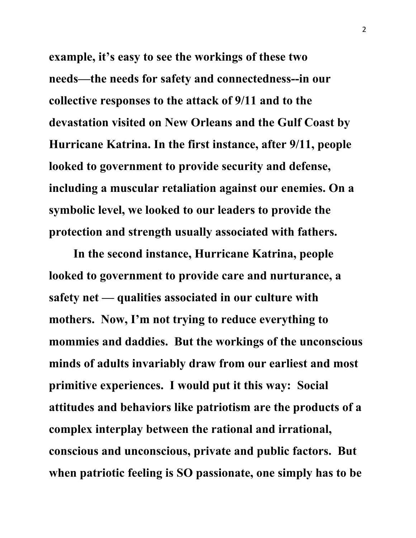**example, it's easy to see the workings of these two needs—the needs for safety and connectedness--in our collective responses to the attack of 9/11 and to the devastation visited on New Orleans and the Gulf Coast by Hurricane Katrina. In the first instance, after 9/11, people looked to government to provide security and defense, including a muscular retaliation against our enemies. On a symbolic level, we looked to our leaders to provide the protection and strength usually associated with fathers.**

**In the second instance, Hurricane Katrina, people looked to government to provide care and nurturance, a safety net — qualities associated in our culture with mothers. Now, I'm not trying to reduce everything to mommies and daddies. But the workings of the unconscious minds of adults invariably draw from our earliest and most primitive experiences. I would put it this way: Social attitudes and behaviors like patriotism are the products of a complex interplay between the rational and irrational, conscious and unconscious, private and public factors. But when patriotic feeling is SO passionate, one simply has to be**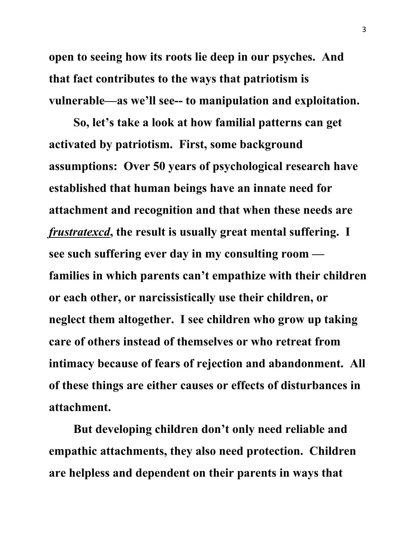**open to seeing how its roots lie deep in our psyches. And that fact contributes to the ways that patriotism is vulnerable—as we'll see-- to manipulation and exploitation.**

**So, let's take a look at how familial patterns can get activated by patriotism. First, some background assumptions: Over 50 years of psychological research have established that human beings have an innate need for attachment and recognition and that when these needs are** *frustratexcd***, the result is usually great mental suffering. I see such suffering ever day in my consulting room families in which parents can't empathize with their children or each other, or narcissistically use their children, or neglect them altogether. I see children who grow up taking care of others instead of themselves or who retreat from intimacy because of fears of rejection and abandonment. All of these things are either causes or effects of disturbances in attachment.**

**But developing children don't only need reliable and empathic attachments, they also need protection. Children are helpless and dependent on their parents in ways that**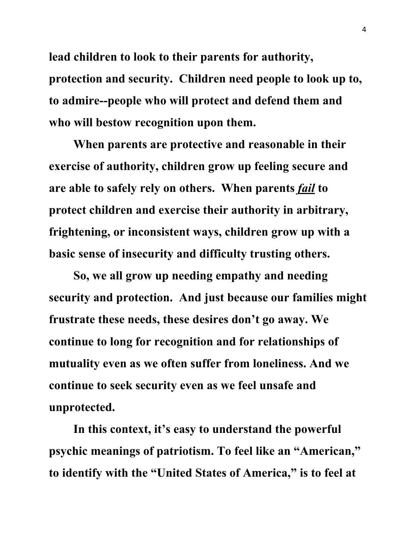**lead children to look to their parents for authority, protection and security. Children need people to look up to, to admire--people who will protect and defend them and who will bestow recognition upon them.**

**When parents are protective and reasonable in their exercise of authority, children grow up feeling secure and are able to safely rely on others. When parents** *fail* **to protect children and exercise their authority in arbitrary, frightening, or inconsistent ways, children grow up with a basic sense of insecurity and difficulty trusting others.**

**So, we all grow up needing empathy and needing security and protection. And just because our families might frustrate these needs, these desires don't go away. We continue to long for recognition and for relationships of mutuality even as we often suffer from loneliness. And we continue to seek security even as we feel unsafe and unprotected.**

**In this context, it's easy to understand the powerful psychic meanings of patriotism. To feel like an "American," to identify with the "United States of America," is to feel at**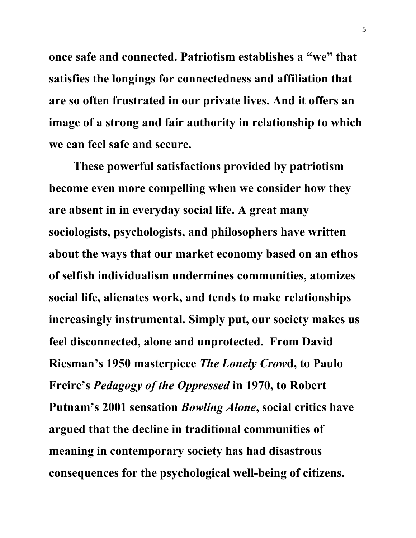**once safe and connected. Patriotism establishes a "we" that satisfies the longings for connectedness and affiliation that are so often frustrated in our private lives. And it offers an image of a strong and fair authority in relationship to which we can feel safe and secure.**

**These powerful satisfactions provided by patriotism become even more compelling when we consider how they are absent in in everyday social life. A great many sociologists, psychologists, and philosophers have written about the ways that our market economy based on an ethos of selfish individualism undermines communities, atomizes social life, alienates work, and tends to make relationships increasingly instrumental. Simply put, our society makes us feel disconnected, alone and unprotected. From David Riesman's 1950 masterpiece** *The Lonely Crow***d, to Paulo Freire's** *Pedagogy of the Oppressed* **in 1970, to Robert Putnam's 2001 sensation** *Bowling Alone***, social critics have argued that the decline in traditional communities of meaning in contemporary society has had disastrous consequences for the psychological well-being of citizens.**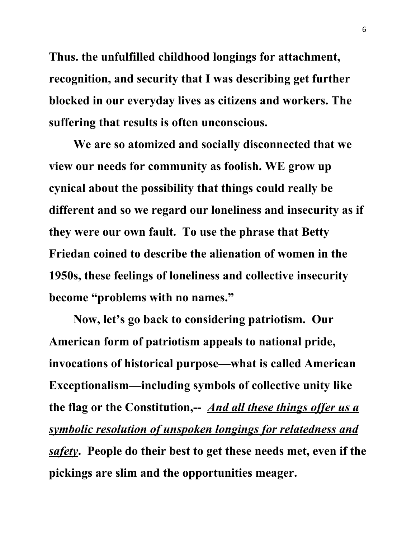**Thus. the unfulfilled childhood longings for attachment, recognition, and security that I was describing get further blocked in our everyday lives as citizens and workers. The suffering that results is often unconscious.**

**We are so atomized and socially disconnected that we view our needs for community as foolish. WE grow up cynical about the possibility that things could really be different and so we regard our loneliness and insecurity as if they were our own fault. To use the phrase that Betty Friedan coined to describe the alienation of women in the 1950s, these feelings of loneliness and collective insecurity become "problems with no names."**

**Now, let's go back to considering patriotism. Our American form of patriotism appeals to national pride, invocations of historical purpose—what is called American Exceptionalism—including symbols of collective unity like the flag or the Constitution,--** *And all these things offer us a symbolic resolution of unspoken longings for relatedness and safety***. People do their best to get these needs met, even if the pickings are slim and the opportunities meager.**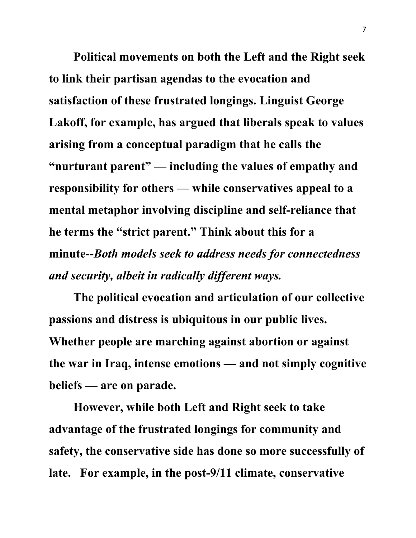**Political movements on both the Left and the Right seek to link their partisan agendas to the evocation and satisfaction of these frustrated longings. Linguist George Lakoff, for example, has argued that liberals speak to values arising from a conceptual paradigm that he calls the "nurturant parent" — including the values of empathy and responsibility for others — while conservatives appeal to a mental metaphor involving discipline and self-reliance that he terms the "strict parent." Think about this for a minute--***Both models seek to address needs for connectedness and security, albeit in radically different ways.*

**The political evocation and articulation of our collective passions and distress is ubiquitous in our public lives. Whether people are marching against abortion or against the war in Iraq, intense emotions — and not simply cognitive beliefs — are on parade.**

**However, while both Left and Right seek to take advantage of the frustrated longings for community and safety, the conservative side has done so more successfully of late. For example, in the post-9/11 climate, conservative**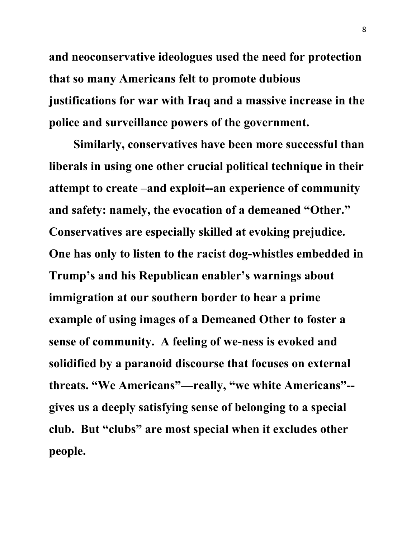**and neoconservative ideologues used the need for protection that so many Americans felt to promote dubious justifications for war with Iraq and a massive increase in the police and surveillance powers of the government.**

**Similarly, conservatives have been more successful than liberals in using one other crucial political technique in their attempt to create –and exploit--an experience of community and safety: namely, the evocation of a demeaned "Other." Conservatives are especially skilled at evoking prejudice. One has only to listen to the racist dog-whistles embedded in Trump's and his Republican enabler's warnings about immigration at our southern border to hear a prime example of using images of a Demeaned Other to foster a sense of community. A feeling of we-ness is evoked and solidified by a paranoid discourse that focuses on external threats. "We Americans"—really, "we white Americans"- gives us a deeply satisfying sense of belonging to a special club. But "clubs" are most special when it excludes other people.**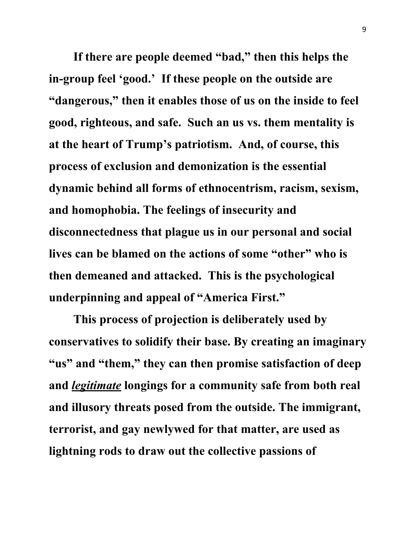**If there are people deemed "bad," then this helps the in-group feel 'good.' If these people on the outside are "dangerous," then it enables those of us on the inside to feel good, righteous, and safe. Such an us vs. them mentality is at the heart of Trump's patriotism. And, of course, this process of exclusion and demonization is the essential dynamic behind all forms of ethnocentrism, racism, sexism, and homophobia. The feelings of insecurity and disconnectedness that plague us in our personal and social lives can be blamed on the actions of some "other" who is then demeaned and attacked. This is the psychological underpinning and appeal of "America First."**

**This process of projection is deliberately used by conservatives to solidify their base. By creating an imaginary "us" and "them," they can then promise satisfaction of deep and** *legitimate* **longings for a community safe from both real and illusory threats posed from the outside. The immigrant, terrorist, and gay newlywed for that matter, are used as lightning rods to draw out the collective passions of**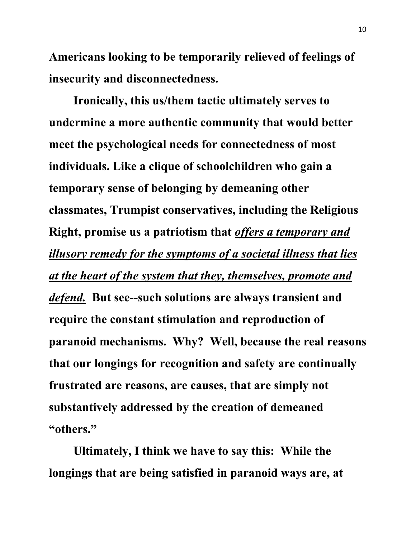**Americans looking to be temporarily relieved of feelings of insecurity and disconnectedness.**

**Ironically, this us/them tactic ultimately serves to undermine a more authentic community that would better meet the psychological needs for connectedness of most individuals. Like a clique of schoolchildren who gain a temporary sense of belonging by demeaning other classmates, Trumpist conservatives, including the Religious Right, promise us a patriotism that** *offers a temporary and illusory remedy for the symptoms of a societal illness that lies at the heart of the system that they, themselves, promote and defend.* **But see--such solutions are always transient and require the constant stimulation and reproduction of paranoid mechanisms. Why? Well, because the real reasons that our longings for recognition and safety are continually frustrated are reasons, are causes, that are simply not substantively addressed by the creation of demeaned "others."**

**Ultimately, I think we have to say this: While the longings that are being satisfied in paranoid ways are, at**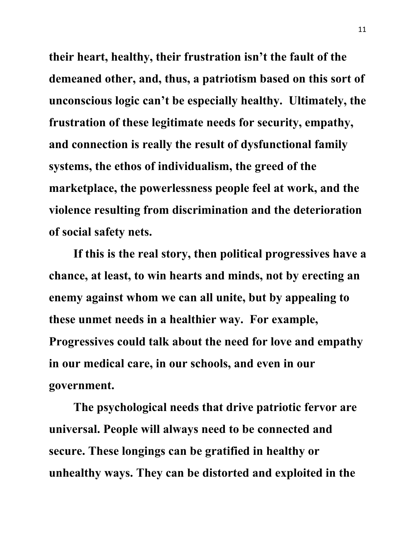**their heart, healthy, their frustration isn't the fault of the demeaned other, and, thus, a patriotism based on this sort of unconscious logic can't be especially healthy. Ultimately, the frustration of these legitimate needs for security, empathy, and connection is really the result of dysfunctional family systems, the ethos of individualism, the greed of the marketplace, the powerlessness people feel at work, and the violence resulting from discrimination and the deterioration of social safety nets.**

**If this is the real story, then political progressives have a chance, at least, to win hearts and minds, not by erecting an enemy against whom we can all unite, but by appealing to these unmet needs in a healthier way. For example, Progressives could talk about the need for love and empathy in our medical care, in our schools, and even in our government.**

**The psychological needs that drive patriotic fervor are universal. People will always need to be connected and secure. These longings can be gratified in healthy or unhealthy ways. They can be distorted and exploited in the**